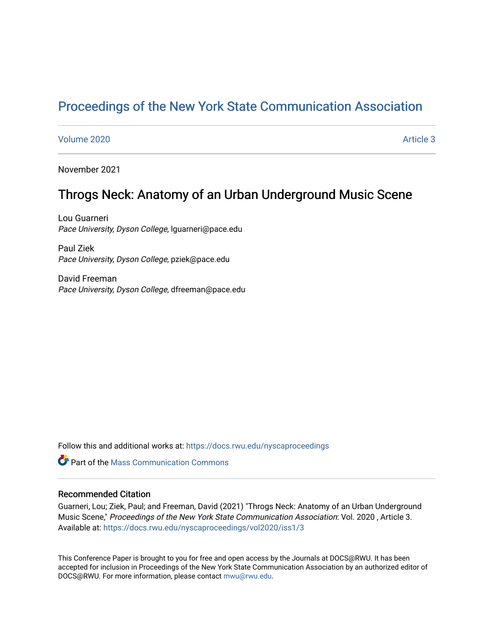# [Proceedings of the New York State Communication Association](https://docs.rwu.edu/nyscaproceedings)

#### [Volume 2020](https://docs.rwu.edu/nyscaproceedings/vol2020) **Article 3**

November 2021

### Throgs Neck: Anatomy of an Urban Underground Music Scene

Lou Guarneri Pace University, Dyson College, lguarneri@pace.edu

Paul Ziek Pace University, Dyson College, pziek@pace.edu

David Freeman Pace University, Dyson College, dfreeman@pace.edu

Follow this and additional works at: [https://docs.rwu.edu/nyscaproceedings](https://docs.rwu.edu/nyscaproceedings?utm_source=docs.rwu.edu%2Fnyscaproceedings%2Fvol2020%2Fiss1%2F3&utm_medium=PDF&utm_campaign=PDFCoverPages)

**C** Part of the Mass Communication Commons

#### Recommended Citation

Guarneri, Lou; Ziek, Paul; and Freeman, David (2021) "Throgs Neck: Anatomy of an Urban Underground Music Scene," Proceedings of the New York State Communication Association: Vol. 2020 , Article 3. Available at: [https://docs.rwu.edu/nyscaproceedings/vol2020/iss1/3](https://docs.rwu.edu/nyscaproceedings/vol2020/iss1/3?utm_source=docs.rwu.edu%2Fnyscaproceedings%2Fvol2020%2Fiss1%2F3&utm_medium=PDF&utm_campaign=PDFCoverPages)

This Conference Paper is brought to you for free and open access by the Journals at DOCS@RWU. It has been accepted for inclusion in Proceedings of the New York State Communication Association by an authorized editor of DOCS@RWU. For more information, please contact [mwu@rwu.edu.](mailto:mwu@rwu.edu)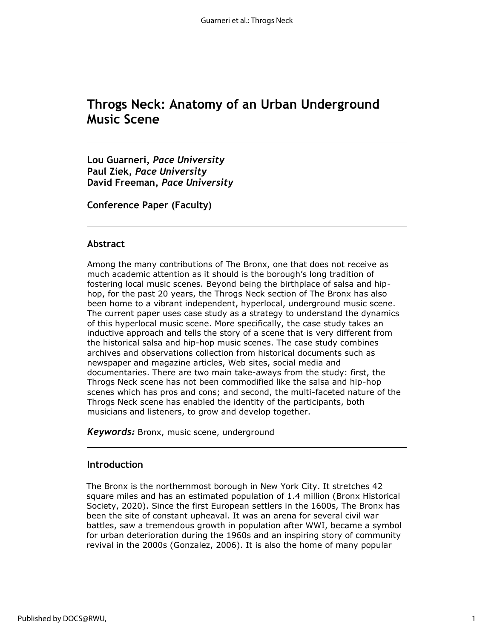## **Throgs Neck: Anatomy of an Urban Underground Music Scene**

**Lou Guarneri,** *Pace University* **Paul Ziek,** *Pace University* **David Freeman,** *Pace University*

**Conference Paper (Faculty)**

#### **Abstract**

Among the many contributions of The Bronx, one that does not receive as much academic attention as it should is the borough's long tradition of fostering local music scenes. Beyond being the birthplace of salsa and hiphop, for the past 20 years, the Throgs Neck section of The Bronx has also been home to a vibrant independent, hyperlocal, underground music scene. The current paper uses case study as a strategy to understand the dynamics of this hyperlocal music scene. More specifically, the case study takes an inductive approach and tells the story of a scene that is very different from the historical salsa and hip-hop music scenes. The case study combines archives and observations collection from historical documents such as newspaper and magazine articles, Web sites, social media and documentaries. There are two main take-aways from the study: first, the Throgs Neck scene has not been commodified like the salsa and hip-hop scenes which has pros and cons; and second, the multi-faceted nature of the Throgs Neck scene has enabled the identity of the participants, both musicians and listeners, to grow and develop together.

*Keywords:* Bronx, music scene, underground

#### **Introduction**

The Bronx is the northernmost borough in New York City. It stretches 42 square miles and has an estimated population of 1.4 million (Bronx Historical Society, 2020). Since the first European settlers in the 1600s, The Bronx has been the site of constant upheaval. It was an arena for several civil war battles, saw a tremendous growth in population after WWI, became a symbol for urban deterioration during the 1960s and an inspiring story of community revival in the 2000s (Gonzalez, 2006). It is also the home of many popular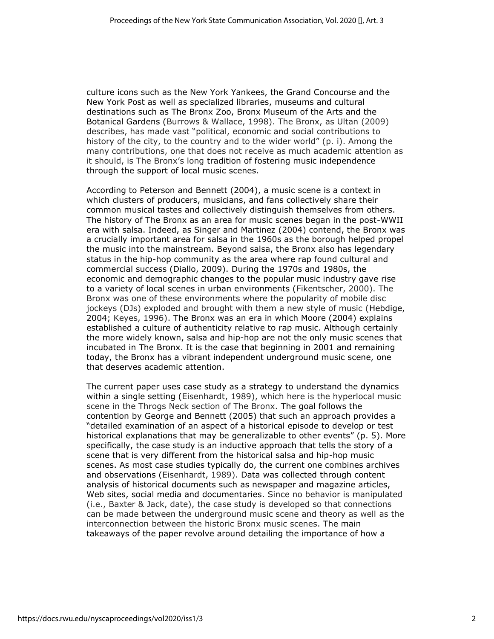culture icons such as the New York Yankees, the Grand Concourse and the New York Post as well as specialized libraries, museums and cultural destinations such as The Bronx Zoo, Bronx Museum of the Arts and the Botanical Gardens (Burrows & Wallace, 1998). The Bronx, as Ultan (2009) describes, has made vast "political, economic and social contributions to history of the city, to the country and to the wider world" (p. i). Among the many contributions, one that does not receive as much academic attention as it should, is The Bronx's long tradition of fostering music independence through the support of local music scenes.

According to Peterson and Bennett (2004), a music scene is a context in which clusters of producers, musicians, and fans collectively share their common musical tastes and collectively distinguish themselves from others. The history of The Bronx as an area for music scenes began in the post-WWII era with salsa. Indeed, as Singer and Martinez (2004) contend, the Bronx was a crucially important area for salsa in the 1960s as the borough helped propel the music into the mainstream. Beyond salsa, the Bronx also has legendary status in the hip-hop community as the area where rap found cultural and commercial success (Diallo, 2009). During the 1970s and 1980s, the economic and demographic changes to the popular music industry gave rise to a variety of local scenes in urban environments (Fikentscher, 2000). The Bronx was one of these environments where the popularity of mobile disc jockeys (DJs) exploded and brought with them a new style of music (Hebdige, 2004; Keyes, 1996). The Bronx was an era in which Moore (2004) explains established a culture of authenticity relative to rap music. Although certainly the more widely known, salsa and hip-hop are not the only music scenes that incubated in The Bronx. It is the case that beginning in 2001 and remaining today, the Bronx has a vibrant independent underground music scene, one that deserves academic attention.

The current paper uses case study as a strategy to understand the dynamics within a single setting (Eisenhardt, 1989), which here is the hyperlocal music scene in the Throgs Neck section of The Bronx. The goal follows the contention by George and Bennett (2005) that such an approach provides a "detailed examination of an aspect of a historical episode to develop or test historical explanations that may be generalizable to other events" (p. 5). More specifically, the case study is an inductive approach that tells the story of a scene that is very different from the historical salsa and hip-hop music scenes. As most case studies typically do, the current one combines archives and observations (Eisenhardt, 1989). Data was collected through content analysis of historical documents such as newspaper and magazine articles, Web sites, social media and documentaries. Since no behavior is manipulated (i.e., Baxter & Jack, date), the case study is developed so that connections can be made between the underground music scene and theory as well as the interconnection between the historic Bronx music scenes. The main takeaways of the paper revolve around detailing the importance of how a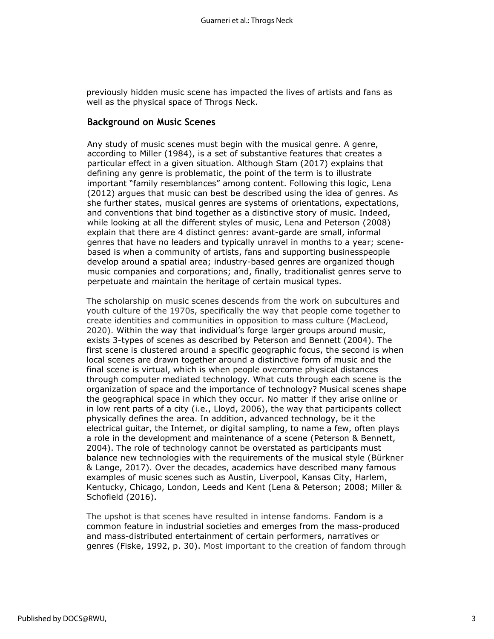previously hidden music scene has impacted the lives of artists and fans as well as the physical space of Throgs Neck.

#### **Background on Music Scenes**

Any study of music scenes must begin with the musical genre. A genre, according to Miller (1984), is a set of substantive features that creates a particular effect in a given situation. Although Stam (2017) explains that defining any genre is problematic, the point of the term is to illustrate important "family resemblances" among content. Following this logic, Lena (2012) argues that music can best be described using the idea of genres. As she further states, musical genres are systems of orientations, expectations, and conventions that bind together as a distinctive story of music. Indeed, while looking at all the different styles of music, Lena and Peterson (2008) explain that there are 4 distinct genres: avant-garde are small, informal genres that have no leaders and typically unravel in months to a year; scenebased is when a community of artists, fans and supporting businesspeople develop around a spatial area; industry-based genres are organized though music companies and corporations; and, finally, traditionalist genres serve to perpetuate and maintain the heritage of certain musical types.

The scholarship on music scenes descends from the work on subcultures and youth culture of the 1970s, specifically the way that people come together to create identities and communities in opposition to mass culture (MacLeod, 2020). Within the way that individual's forge larger groups around music, exists 3-types of scenes as described by Peterson and Bennett (2004). The first scene is clustered around a specific geographic focus, the second is when local scenes are drawn together around a distinctive form of music and the final scene is virtual, which is when people overcome physical distances through computer mediated technology. What cuts through each scene is the organization of space and the importance of technology? Musical scenes shape the geographical space in which they occur. No matter if they arise online or in low rent parts of a city (i.e., Lloyd, 2006), the way that participants collect physically defines the area. In addition, advanced technology, be it the electrical guitar, the Internet, or digital sampling, to name a few, often plays a role in the development and maintenance of a scene (Peterson & Bennett, 2004). The role of technology cannot be overstated as participants must balance new technologies with the requirements of the musical style (Bürkner & Lange, 2017). Over the decades, academics have described many famous examples of music scenes such as Austin, Liverpool, Kansas City, Harlem, Kentucky, Chicago, London, Leeds and Kent (Lena & Peterson; 2008; Miller & Schofield (2016).

The upshot is that scenes have resulted in intense fandoms. Fandom is a common feature in industrial societies and emerges from the mass-produced and mass-distributed entertainment of certain performers, narratives or genres (Fiske, 1992, p. 30). Most important to the creation of fandom through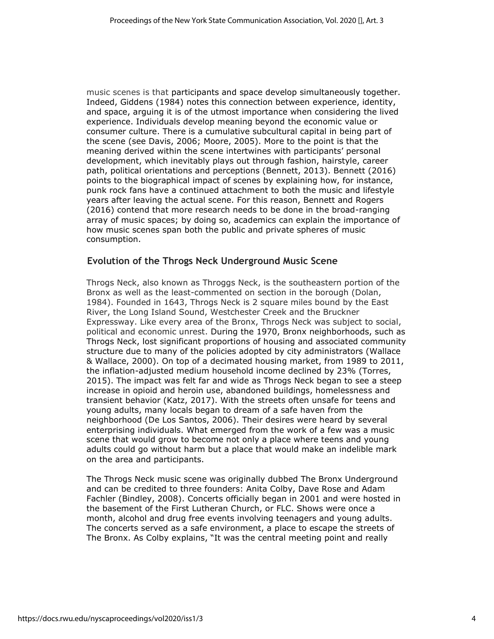music scenes is that participants and space develop simultaneously together. Indeed, Giddens (1984) notes this connection between experience, identity, and space, arguing it is of the utmost importance when considering the lived experience. Individuals develop meaning beyond the economic value or consumer culture. There is a cumulative subcultural capital in being part of the scene (see Davis, 2006; Moore, 2005). More to the point is that the meaning derived within the scene intertwines with participants' personal development, which inevitably plays out through fashion, hairstyle, career path, political orientations and perceptions (Bennett, 2013). Bennett (2016) points to the biographical impact of scenes by explaining how, for instance, punk rock fans have a continued attachment to both the music and lifestyle years after leaving the actual scene. For this reason, Bennett and Rogers (2016) contend that more research needs to be done in the broad-ranging array of music spaces; by doing so, academics can explain the importance of how music scenes span both the public and private spheres of music consumption.

#### **Evolution of the Throgs Neck Underground Music Scene**

Throgs Neck, also known as Throggs Neck, is the southeastern portion of the Bronx as well as the least-commented on section in the borough (Dolan, 1984). Founded in 1643, Throgs Neck is 2 square miles bound by the East River, the Long Island Sound, Westchester Creek and the Bruckner Expressway. Like every area of the Bronx, Throgs Neck was subject to social, political and economic unrest. During the 1970, Bronx neighborhoods, such as Throgs Neck, lost significant proportions of housing and associated community structure due to many of the policies adopted by city administrators (Wallace & Wallace, 2000). On top of a decimated housing market, from 1989 to 2011, the inflation-adjusted medium household income declined by 23% (Torres, 2015). The impact was felt far and wide as Throgs Neck began to see a steep increase in opioid and heroin use, abandoned buildings, homelessness and transient behavior (Katz, 2017). With the streets often unsafe for teens and young adults, many locals began to dream of a safe haven from the neighborhood (De Los Santos, 2006). Their desires were heard by several enterprising individuals. What emerged from the work of a few was a music scene that would grow to become not only a place where teens and young adults could go without harm but a place that would make an indelible mark on the area and participants.

The Throgs Neck music scene was originally dubbed The Bronx Underground and can be credited to three founders: Anita Colby, Dave Rose and Adam Fachler (Bindley, 2008). Concerts officially began in 2001 and were hosted in the basement of the First Lutheran Church, or FLC. Shows were once a month, alcohol and drug free events involving teenagers and young adults. The concerts served as a safe environment, a place to escape the streets of The Bronx. As Colby explains, "It was the central meeting point and really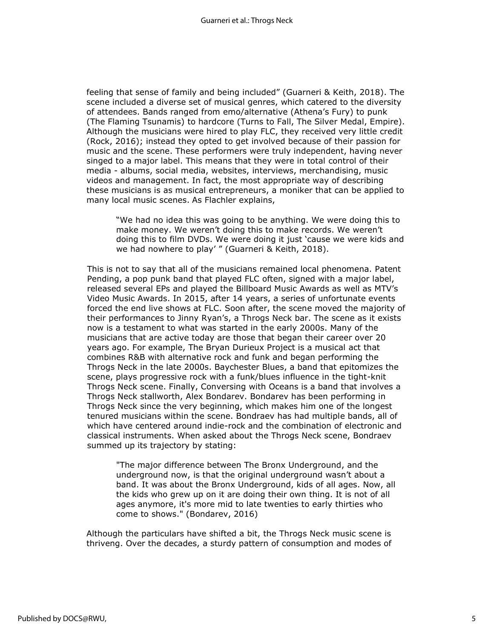feeling that sense of family and being included" (Guarneri & Keith, 2018). The scene included a diverse set of musical genres, which catered to the diversity of attendees. Bands ranged from emo/alternative (Athena's Fury) to punk (The Flaming Tsunamis) to hardcore (Turns to Fall, The Silver Medal, Empire). Although the musicians were hired to play FLC, they received very little credit (Rock, 2016); instead they opted to get involved because of their passion for music and the scene. These performers were truly independent, having never singed to a major label. This means that they were in total control of their media - albums, social media, websites, interviews, merchandising, music videos and management. In fact, the most appropriate way of describing these musicians is as musical entrepreneurs, a moniker that can be applied to many local music scenes. As Flachler explains,

"We had no idea this was going to be anything. We were doing this to make money. We weren't doing this to make records. We weren't doing this to film DVDs. We were doing it just 'cause we were kids and we had nowhere to play' " (Guarneri & Keith, 2018).

This is not to say that all of the musicians remained local phenomena. Patent Pending, a pop punk band that played FLC often, signed with a major label, released several EPs and played the Billboard Music Awards as well as MTV's Video Music Awards. In 2015, after 14 years, a series of unfortunate events forced the end live shows at FLC. Soon after, the scene moved the majority of their performances to Jinny Ryan's, a Throgs Neck bar. The scene as it exists now is a testament to what was started in the early 2000s. Many of the musicians that are active today are those that began their career over 20 years ago. For example, The Bryan Durieux Project is a musical act that combines R&B with alternative rock and funk and began performing the Throgs Neck in the late 2000s. Baychester Blues, a band that epitomizes the scene, plays progressive rock with a funk/blues influence in the tight-knit Throgs Neck scene. Finally, Conversing with Oceans is a band that involves a Throgs Neck stallworth, Alex Bondarev. Bondarev has been performing in Throgs Neck since the very beginning, which makes him one of the longest tenured musicians within the scene. Bondraev has had multiple bands, all of which have centered around indie-rock and the combination of electronic and classical instruments. When asked about the Throgs Neck scene, Bondraev summed up its trajectory by stating:

"The major difference between The Bronx Underground, and the underground now, is that the original underground wasn't about a band. It was about the Bronx Underground, kids of all ages. Now, all the kids who grew up on it are doing their own thing. It is not of all ages anymore, it's more mid to late twenties to early thirties who come to shows." (Bondarev, 2016)

Although the particulars have shifted a bit, the Throgs Neck music scene is thriveng. Over the decades, a sturdy pattern of consumption and modes of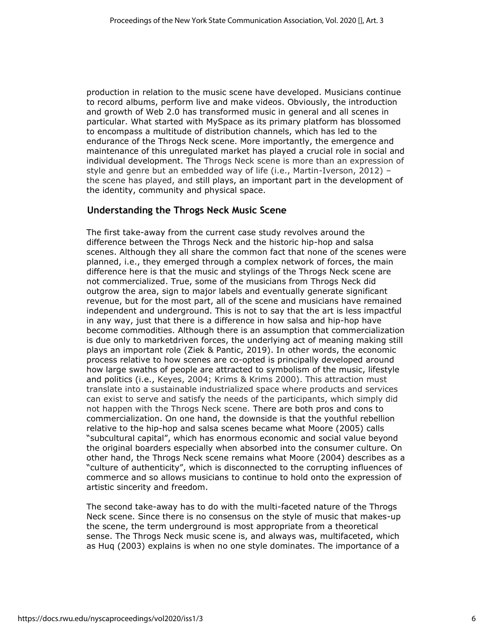production in relation to the music scene have developed. Musicians continue to record albums, perform live and make videos. Obviously, the introduction and growth of Web 2.0 has transformed music in general and all scenes in particular. What started with MySpace as its primary platform has blossomed to encompass a multitude of distribution channels, which has led to the endurance of the Throgs Neck scene. More importantly, the emergence and maintenance of this unregulated market has played a crucial role in social and individual development. The Throgs Neck scene is more than an expression of style and genre but an embedded way of life (i.e., Martin-Iverson, 2012) – the scene has played, and still plays, an important part in the development of the identity, community and physical space.

#### **Understanding the Throgs Neck Music Scene**

The first take-away from the current case study revolves around the difference between the Throgs Neck and the historic hip-hop and salsa scenes. Although they all share the common fact that none of the scenes were planned, i.e., they emerged through a complex network of forces, the main difference here is that the music and stylings of the Throgs Neck scene are not commercialized. True, some of the musicians from Throgs Neck did outgrow the area, sign to major labels and eventually generate significant revenue, but for the most part, all of the scene and musicians have remained independent and underground. This is not to say that the art is less impactful in any way, just that there is a difference in how salsa and hip-hop have become commodities. Although there is an assumption that commercialization is due only to marketdriven forces, the underlying act of meaning making still plays an important role (Ziek & Pantic, 2019). In other words, the economic process relative to how scenes are co-opted is principally developed around how large swaths of people are attracted to symbolism of the music, lifestyle and politics (i.e., Keyes, 2004; Krims & Krims 2000). This attraction must translate into a sustainable industrialized space where products and services can exist to serve and satisfy the needs of the participants, which simply did not happen with the Throgs Neck scene. There are both pros and cons to commercialization. On one hand, the downside is that the youthful rebellion relative to the hip-hop and salsa scenes became what Moore (2005) calls "subcultural capital", which has enormous economic and social value beyond the original boarders especially when absorbed into the consumer culture. On other hand, the Throgs Neck scene remains what Moore (2004) describes as a "culture of authenticity", which is disconnected to the corrupting influences of commerce and so allows musicians to continue to hold onto the expression of artistic sincerity and freedom.

The second take-away has to do with the multi-faceted nature of the Throgs Neck scene. Since there is no consensus on the style of music that makes-up the scene, the term underground is most appropriate from a theoretical sense. The Throgs Neck music scene is, and always was, multifaceted, which as Huq (2003) explains is when no one style dominates. The importance of a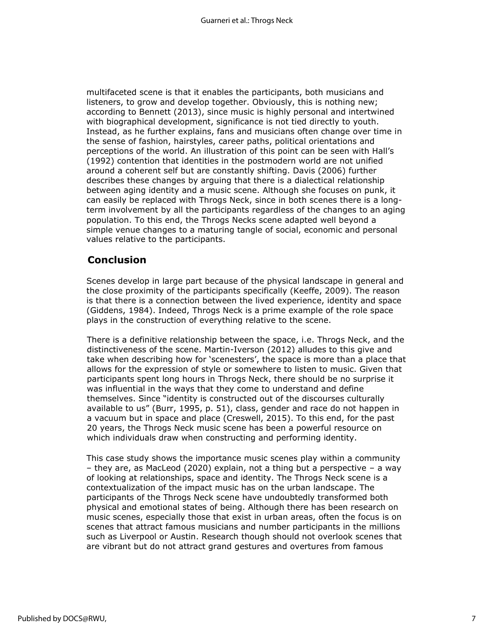multifaceted scene is that it enables the participants, both musicians and listeners, to grow and develop together. Obviously, this is nothing new; according to Bennett (2013), since music is highly personal and intertwined with biographical development, significance is not tied directly to youth. Instead, as he further explains, fans and musicians often change over time in the sense of fashion, hairstyles, career paths, political orientations and perceptions of the world. An illustration of this point can be seen with Hall's (1992) contention that identities in the postmodern world are not unified around a coherent self but are constantly shifting. Davis (2006) further describes these changes by arguing that there is a dialectical relationship between aging identity and a music scene. Although she focuses on punk, it can easily be replaced with Throgs Neck, since in both scenes there is a longterm involvement by all the participants regardless of the changes to an aging population. To this end, the Throgs Necks scene adapted well beyond a simple venue changes to a maturing tangle of social, economic and personal values relative to the participants.

### **Conclusion**

Scenes develop in large part because of the physical landscape in general and the close proximity of the participants specifically (Keeffe, 2009). The reason is that there is a connection between the lived experience, identity and space (Giddens, 1984). Indeed, Throgs Neck is a prime example of the role space plays in the construction of everything relative to the scene.

There is a definitive relationship between the space, i.e. Throgs Neck, and the distinctiveness of the scene. Martin-Iverson (2012) alludes to this give and take when describing how for 'scenesters', the space is more than a place that allows for the expression of style or somewhere to listen to music. Given that participants spent long hours in Throgs Neck, there should be no surprise it was influential in the ways that they come to understand and define themselves. Since "identity is constructed out of the discourses culturally available to us" (Burr, 1995, p. 51), class, gender and race do not happen in a vacuum but in space and place (Creswell, 2015). To this end, for the past 20 years, the Throgs Neck music scene has been a powerful resource on which individuals draw when constructing and performing identity.

This case study shows the importance music scenes play within a community – they are, as MacLeod (2020) explain, not a thing but a perspective – a way of looking at relationships, space and identity. The Throgs Neck scene is a contextualization of the impact music has on the urban landscape. The participants of the Throgs Neck scene have undoubtedly transformed both physical and emotional states of being. Although there has been research on music scenes, especially those that exist in urban areas, often the focus is on scenes that attract famous musicians and number participants in the millions such as Liverpool or Austin. Research though should not overlook scenes that are vibrant but do not attract grand gestures and overtures from famous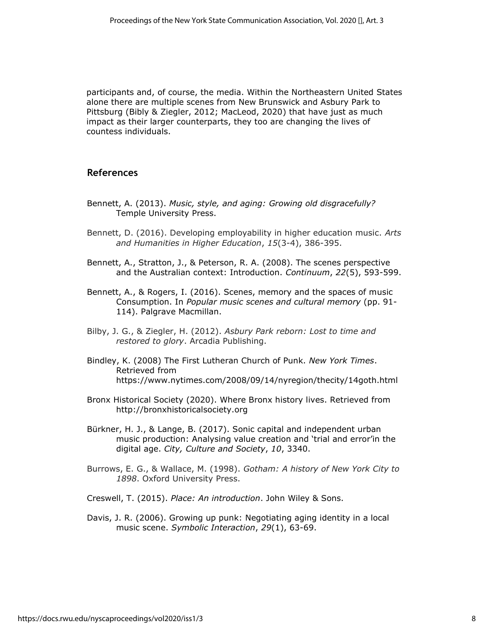participants and, of course, the media. Within the Northeastern United States alone there are multiple scenes from New Brunswick and Asbury Park to Pittsburg (Bibly & Ziegler, 2012; MacLeod, 2020) that have just as much impact as their larger counterparts, they too are changing the lives of countess individuals.

#### **References**

- Bennett, A. (2013). *Music, style, and aging: Growing old disgracefully?* Temple University Press.
- Bennett, D. (2016). Developing employability in higher education music. *Arts and Humanities in Higher Education*, *15*(3-4), 386-395.
- Bennett, A., Stratton, J., & Peterson, R. A. (2008). The scenes perspective and the Australian context: Introduction. *Continuum*, *22*(5), 593-599.
- Bennett, A., & Rogers, I. (2016). Scenes, memory and the spaces of music Consumption. In *Popular music scenes and cultural memory* (pp. 91- 114). Palgrave Macmillan.
- Bilby, J. G., & Ziegler, H. (2012). *Asbury Park reborn: Lost to time and restored to glory*. Arcadia Publishing.
- Bindley, K. (2008) The First Lutheran Church of Punk. *New York Times*. Retrieved from https://www.nytimes.com/2008/09/14/nyregion/thecity/14goth.html
- Bronx Historical Society (2020). Where Bronx history lives. Retrieved from http://bronxhistoricalsociety.org
- Bürkner, H. J., & Lange, B. (2017). Sonic capital and independent urban music production: Analysing value creation and 'trial and error'in the digital age. *City, Culture and Society*, *10*, 3340.
- Burrows, E. G., & Wallace, M. (1998). *Gotham: A history of New York City to 1898*. Oxford University Press.

Creswell, T. (2015). *Place: An introduction*. John Wiley & Sons.

Davis, J. R. (2006). Growing up punk: Negotiating aging identity in a local music scene. *Symbolic Interaction*, *29*(1), 63-69.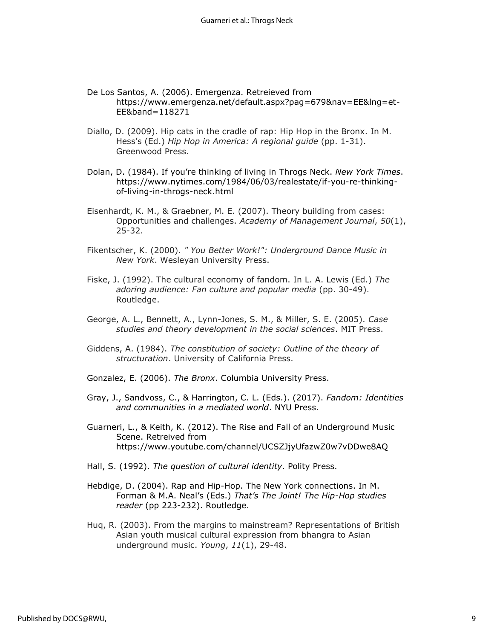- De Los Santos, A. (2006). Emergenza. Retreieved from https://www.emergenza.net/default.aspx?pag=679&nav=EE&lng=et-EE&band=118271
- Diallo, D. (2009). Hip cats in the cradle of rap: Hip Hop in the Bronx. In M. Hess's (Ed.) *Hip Hop in America: A regional guide* (pp. 1-31). Greenwood Press.
- Dolan, D. (1984). If you're thinking of living in Throgs Neck. *New York Times*. [https://www.nytimes.com/1984/06/03/realestate/if-you-re-thinking](https://www.nytimes.com/1984/06/03/realestate/if-you-re-thinking-of-living-in-throgs-neck.html)[of-living-in-throgs-neck.html](https://www.nytimes.com/1984/06/03/realestate/if-you-re-thinking-of-living-in-throgs-neck.html)
- Eisenhardt, K. M., & Graebner, M. E. (2007). Theory building from cases: Opportunities and challenges. *Academy of Management Journal*, *50*(1), 25-32.
- Fikentscher, K. (2000). *" You Better Work!": Underground Dance Music in New York*. Wesleyan University Press.
- Fiske, J. (1992). The cultural economy of fandom. In L. A. Lewis (Ed.) *The adoring audience: Fan culture and popular media* (pp. 30-49). Routledge.
- George, A. L., Bennett, A., Lynn-Jones, S. M., & Miller, S. E. (2005). *Case studies and theory development in the social sciences*. MIT Press.
- Giddens, A. (1984). *The constitution of society: Outline of the theory of structuration*. University of California Press.
- Gonzalez, E. (2006). *The Bronx*. Columbia University Press.
- Gray, J., Sandvoss, C., & Harrington, C. L. (Eds.). (2017). *Fandom: Identities and communities in a mediated world*. NYU Press.
- Guarneri, L., & Keith, K. (2012). The Rise and Fall of an Underground Music Scene. Retreived from https://www.youtube.com/channel/UCSZJjyUfazwZ0w7vDDwe8AQ
- Hall, S. (1992). *The question of cultural identity*. Polity Press.
- Hebdige, D. (2004). Rap and Hip-Hop. The New York connections. In M. Forman & M.A. Neal's (Eds.) *That's The Joint! The Hip-Hop studies reader* (pp 223-232). Routledge.
- Huq, R. (2003). From the margins to mainstream? Representations of British Asian youth musical cultural expression from bhangra to Asian underground music. *Young*, *11*(1), 29-48.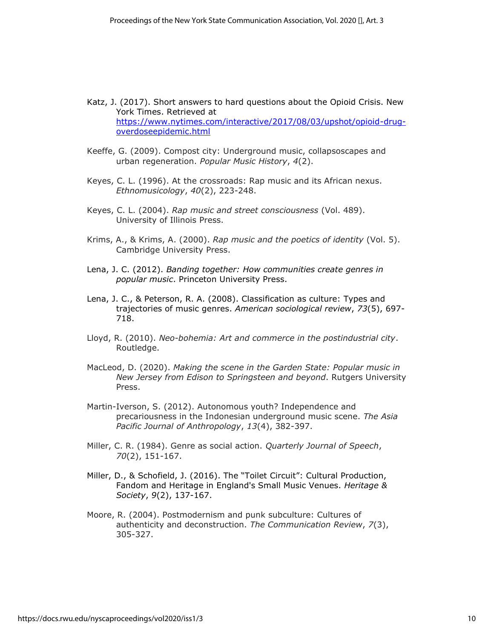- Katz, J. (2017). Short answers to hard questions about the Opioid Crisis. New York Times. Retrieved at [https://www.nytimes.com/interactive/2017/08/03/upshot/opioid-drug](https://www.nytimes.com/interactive/2017/08/03/upshot/opioid-drug-overdose-epidemic.html)[overdoseepidemic.html](https://www.nytimes.com/interactive/2017/08/03/upshot/opioid-drug-overdose-epidemic.html)
- Keeffe, G. (2009). Compost city: Underground music, collapsoscapes and urban regeneration. *Popular Music History*, *4*(2).
- Keyes, C. L. (1996). At the crossroads: Rap music and its African nexus. *Ethnomusicology*, *40*(2), 223-248.
- Keyes, C. L. (2004). *Rap music and street consciousness* (Vol. 489). University of Illinois Press.
- Krims, A., & Krims, A. (2000). *Rap music and the poetics of identity* (Vol. 5). Cambridge University Press.
- Lena, J. C. (2012). *Banding together: How communities create genres in popular music*. Princeton University Press.
- Lena, J. C., & Peterson, R. A. (2008). Classification as culture: Types and trajectories of music genres. *American sociological review*, *73*(5), 697- 718.
- Lloyd, R. (2010). *Neo-bohemia: Art and commerce in the postindustrial city*. Routledge.
- MacLeod, D. (2020). *Making the scene in the Garden State: Popular music in New Jersey from Edison to Springsteen and beyond*. Rutgers University Press.
- Martin-Iverson, S. (2012). Autonomous youth? Independence and precariousness in the Indonesian underground music scene. *The Asia Pacific Journal of Anthropology*, *13*(4), 382-397.
- Miller, C. R. (1984). Genre as social action. *Quarterly Journal of Speech*, *70*(2), 151-167.
- Miller, D., & Schofield, J. (2016). The "Toilet Circuit": Cultural Production, Fandom and Heritage in England's Small Music Venues. *Heritage & Society*, *9*(2), 137-167.
- Moore, R. (2004). Postmodernism and punk subculture: Cultures of authenticity and deconstruction. *The Communication Review*, *7*(3), 305-327.